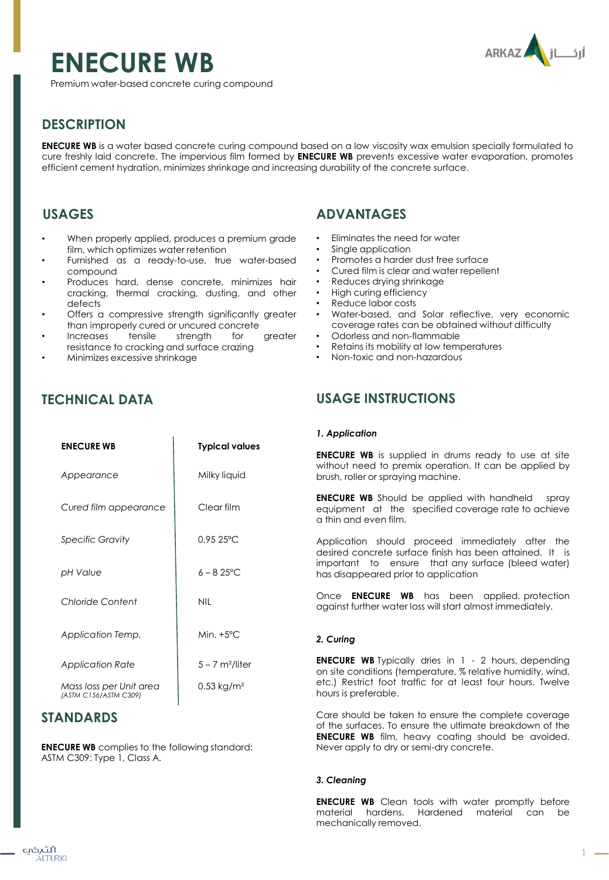# **ENECURE WB**



Premium water-based concrete curing compound

## **DESCRIPTION**

**ENECURE WB** is a water based concrete curing compound based on a low viscosity wax emulsion specially formulated to cure freshly laid concrete. The impervious film formed by **ENECURE WB** prevents excessive water evaporation, promotes efficient cement hydration, minimizes shrinkage and increasing durability of the concrete surface.

## **USAGES**

- When properly applied, produces a premium grade film, which optimizes water retention
- Furnished as a ready-to-use, true water-based compound
- Produces hard, dense concrete, minimizes hair cracking, thermal cracking, dusting, and other defects
- Offers a compressive strength significantly greater than improperly cured or uncured concrete
- Increases tensile strength for greater resistance to cracking and surface crazing
- Minimizes excessive shrinkage

# **ADVANTAGES**

- Eliminates the need for water
- Single application
- Promotes a harder dust free surface
- Cured film is clear and water repellent
- Reduces drying shrinkage
- High curing efficiency
- Reduce labor costs
- Water-based, and Solar reflective, very economic coverage rates can be obtained without difficulty
- Odorless and non-flammable
- Retains its mobility at low temperatures
- Non-toxic and non-hazardous

## **TECHNICAL DATA**

| <b>ENECURE WB</b>                                | <b>Typical values</b>         |
|--------------------------------------------------|-------------------------------|
| Appearance                                       | Milky liquid                  |
| Cured film appearance                            | Clear film                    |
| Specific Gravity                                 | $0.9525$ °C                   |
| pH Value                                         | $6 - 825$ °C                  |
| Chloride Content                                 | <b>NIL</b>                    |
| Application Temp.                                | Min. $+5^{\circ}$ C           |
| <b>Application Rate</b>                          | $5 - 7$ m <sup>2</sup> /liter |
| Mass loss per Unit area<br>(ASTM C156/ASTM C309) | $0.53$ kg/m <sup>2</sup>      |

## **STANDARDS**

**ENECURE WB** complies to the following standard: ASTM C309: Type 1, Class A.

## **USAGE INSTRUCTIONS**

#### *1. Application*

**ENECURE WB** is supplied in drums ready to use at site without need to premix operation. It can be applied by brush, roller or spraying machine.

**ENECURE WB** Should be applied with handheld spray equipment at the specified coverage rate to achieve a thin and even film.

Application should proceed immediately after the desired concrete surface finish has been attained. It is important to ensure that any surface (bleed water) has disappeared prior to application

Once **ENECURE WB** has been applied, protection against further water loss will start almost immediately.

## *2. Curing*

**ENECURE WB** Typically dries in 1 - 2 hours, depending on site conditions (temperature, % relative humidity, wind, etc.) Restrict foot traffic for at least four hours. Twelve hours is preferable.

Care should be taken to ensure the complete coverage of the surfaces. To ensure the ultimate breakdown of the **ENECURE WB** film, heavy coating should be avoided. Never apply to dry or semi-dry concrete.

## *3. Cleaning*

**ENECURE WB** Clean tools with water promptly before material hardens. Hardened material can be mechanically removed.